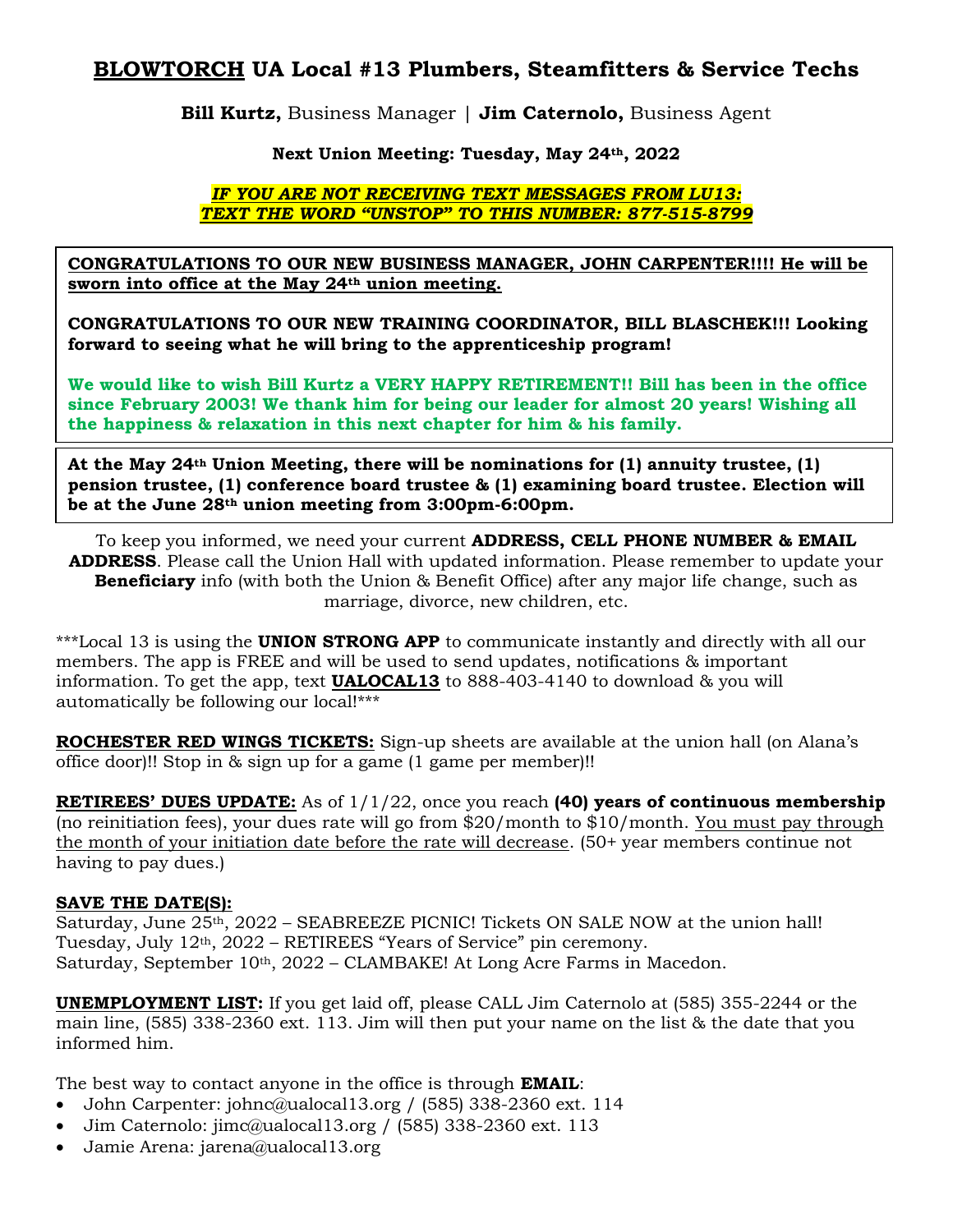# **BLOWTORCH UA Local #13 Plumbers, Steamfitters & Service Techs**

**Bill Kurtz,** Business Manager | **Jim Caternolo,** Business Agent

# **Next Union Meeting: Tuesday, May 24th, 2022**

### *IF YOU ARE NOT RECEIVING TEXT MESSAGES FROM LU13: TEXT THE WORD "UNSTOP" TO THIS NUMBER: 877-515-8799*

**CONGRATULATIONS TO OUR NEW BUSINESS MANAGER, JOHN CARPENTER!!!! He will be sworn into office at the May 24th union meeting.**

**CONGRATULATIONS TO OUR NEW TRAINING COORDINATOR, BILL BLASCHEK!!! Looking forward to seeing what he will bring to the apprenticeship program!**

**We would like to wish Bill Kurtz a VERY HAPPY RETIREMENT!! Bill has been in the office since February 2003! We thank him for being our leader for almost 20 years! Wishing all the happiness & relaxation in this next chapter for him & his family.**

**At the May 24th Union Meeting, there will be nominations for (1) annuity trustee, (1) pension trustee, (1) conference board trustee & (1) examining board trustee. Election will be at the June 28th union meeting from 3:00pm-6:00pm.**

To keep you informed, we need your current **ADDRESS, CELL PHONE NUMBER & EMAIL ADDRESS**. Please call the Union Hall with updated information. Please remember to update your **Beneficiary** info (with both the Union & Benefit Office) after any major life change, such as marriage, divorce, new children, etc.

\*\*\*Local 13 is using the **UNION STRONG APP** to communicate instantly and directly with all our members. The app is FREE and will be used to send updates, notifications & important information. To get the app, text **UALOCAL13** to 888-403-4140 to download & you will automatically be following our local!\*\*\*

**ROCHESTER RED WINGS TICKETS:** Sign-up sheets are available at the union hall (on Alana's office door)!! Stop in & sign up for a game (1 game per member)!!

**RETIREES' DUES UPDATE:** As of 1/1/22, once you reach **(40) years of continuous membership** (no reinitiation fees), your dues rate will go from \$20/month to \$10/month. You must pay through the month of your initiation date before the rate will decrease. (50+ year members continue not having to pay dues.)

### **SAVE THE DATE(S):**

Saturday, June 25th, 2022 – SEABREEZE PICNIC! Tickets ON SALE NOW at the union hall! Tuesday, July  $12<sup>th</sup>$ ,  $2022$  – RETIREES "Years of Service" pin ceremony. Saturday, September  $10<sup>th</sup>$ , 2022 – CLAMBAKE! At Long Acre Farms in Macedon.

**UNEMPLOYMENT LIST:** If you get laid off, please CALL Jim Caternolo at (585) 355-2244 or the main line, (585) 338-2360 ext. 113. Jim will then put your name on the list & the date that you informed him.

The best way to contact anyone in the office is through **EMAIL**:

- John Carpenter: [johnc@ualocal13.org](mailto:johnc@ualocal13.org) / (585) 338-2360 ext. 114
- Jim Caternolo: [jimc@ualocal13.org](mailto:jimc@ualocal13.org) / (585) 338-2360 ext. 113
- Jamie Arena: [jarena@ualocal13.org](mailto:jarena@ualocal13.org)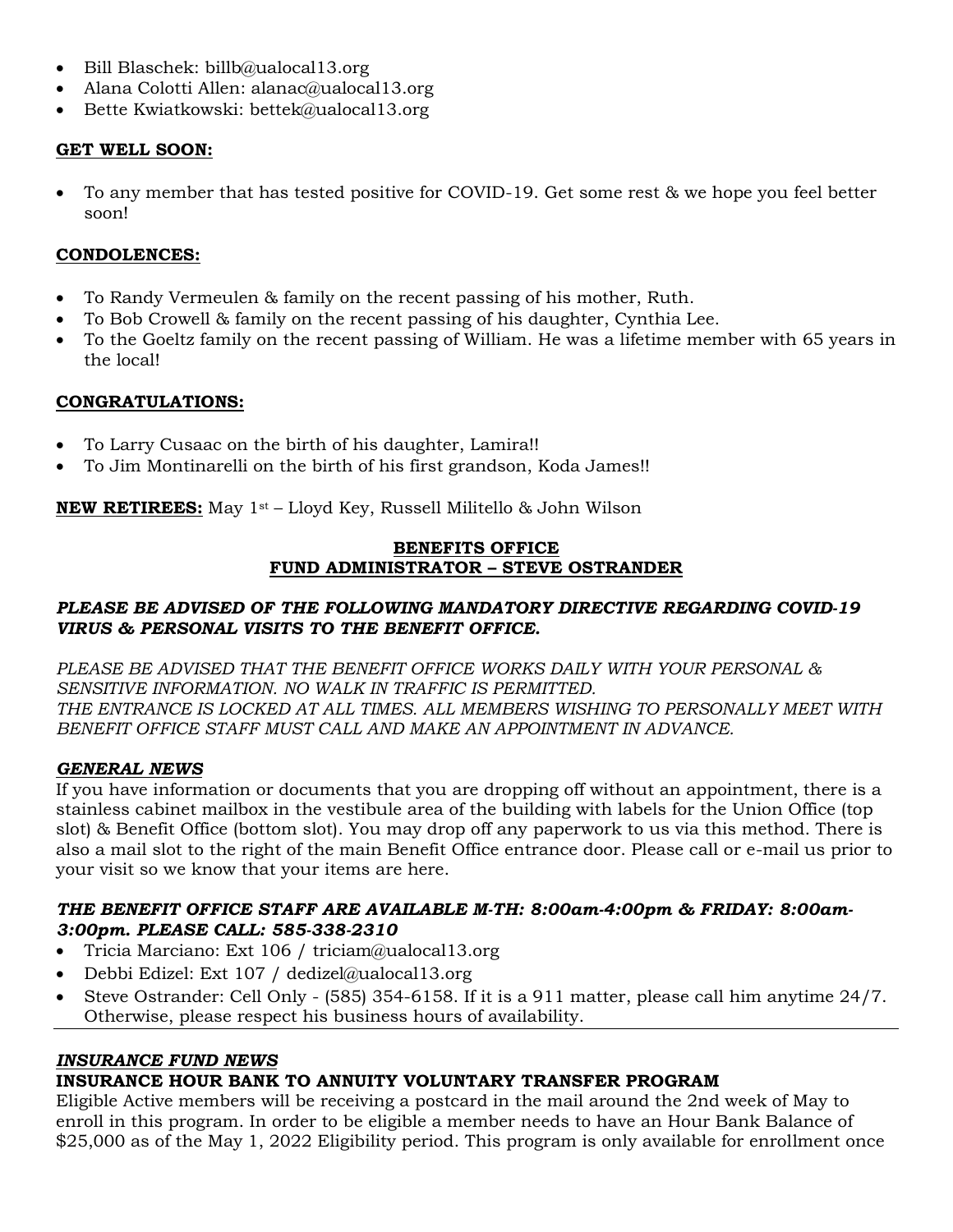- Bill Blaschek: billb@ualocal13.org
- Alana Colotti Allen: [alanac@ualocal13.org](mailto:alanac@ualocal13.org)
- Bette Kwiatkowski: [bettek@ualocal13.org](mailto:bettek@ualocal13.org)

## **GET WELL SOON:**

• To any member that has tested positive for COVID-19. Get some rest & we hope you feel better soon!

### **CONDOLENCES:**

- To Randy Vermeulen & family on the recent passing of his mother, Ruth.
- To Bob Crowell & family on the recent passing of his daughter, Cynthia Lee.
- To the Goeltz family on the recent passing of William. He was a lifetime member with 65 years in the local!

# **CONGRATULATIONS:**

- To Larry Cusaac on the birth of his daughter, Lamira!!
- To Jim Montinarelli on the birth of his first grandson, Koda James!!

**NEW RETIREES:** May 1st – Lloyd Key, Russell Militello & John Wilson

### **BENEFITS OFFICE FUND ADMINISTRATOR – STEVE OSTRANDER**

# *PLEASE BE ADVISED OF THE FOLLOWING MANDATORY DIRECTIVE REGARDING COVID-19 VIRUS & PERSONAL VISITS TO THE BENEFIT OFFICE.*

*PLEASE BE ADVISED THAT THE BENEFIT OFFICE WORKS DAILY WITH YOUR PERSONAL & SENSITIVE INFORMATION. NO WALK IN TRAFFIC IS PERMITTED. THE ENTRANCE IS LOCKED AT ALL TIMES. ALL MEMBERS WISHING TO PERSONALLY MEET WITH BENEFIT OFFICE STAFF MUST CALL AND MAKE AN APPOINTMENT IN ADVANCE.*

### *GENERAL NEWS*

If you have information or documents that you are dropping off without an appointment, there is a stainless cabinet mailbox in the vestibule area of the building with labels for the Union Office (top slot) & Benefit Office (bottom slot). You may drop off any paperwork to us via this method. There is also a mail slot to the right of the main Benefit Office entrance door. Please call or e-mail us prior to your visit so we know that your items are here.

#### *THE BENEFIT OFFICE STAFF ARE AVAILABLE M-TH: 8:00am-4:00pm & FRIDAY: 8:00am-3:00pm. PLEASE CALL: 585-338-2310*

- Tricia Marciano: Ext 106 / [triciam@ualocal13.org](mailto:triciam@ualocal13.org)
- Debbi Edizel: Ext 107 / [dedizel@ualocal13.org](mailto:dedizel@ualocal13.org)
- Steve Ostrander: Cell Only (585) 354-6158. If it is a 911 matter, please call him anytime 24/7. Otherwise, please respect his business hours of availability.

### *INSURANCE FUND NEWS*

# **INSURANCE HOUR BANK TO ANNUITY VOLUNTARY TRANSFER PROGRAM**

Eligible Active members will be receiving a postcard in the mail around the 2nd week of May to enroll in this program. In order to be eligible a member needs to have an Hour Bank Balance of \$25,000 as of the May 1, 2022 Eligibility period. This program is only available for enrollment once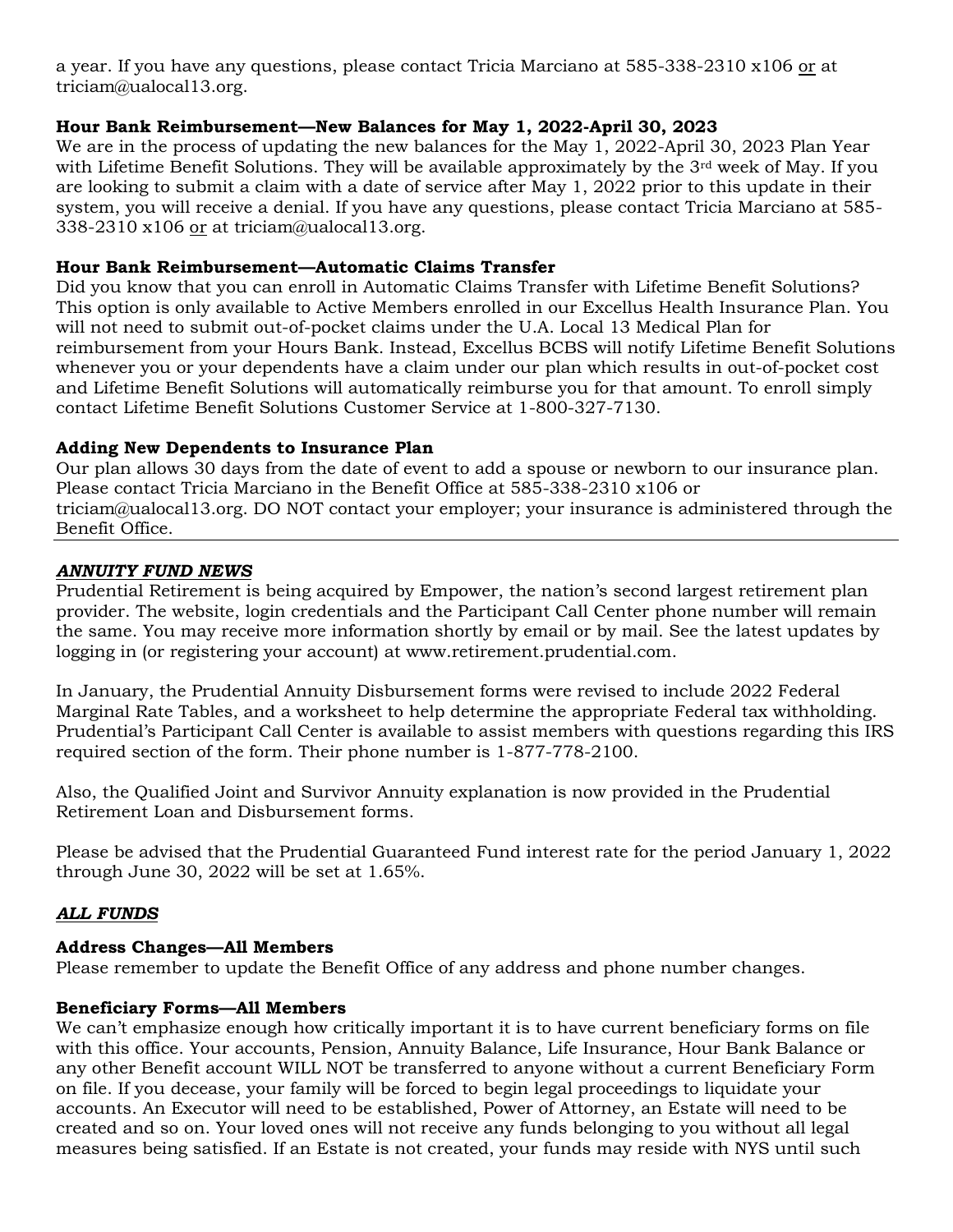a year. If you have any questions, please contact Tricia Marciano at 585-338-2310 x106 or at [triciam@ualocal13.org.](mailto:triciam@ualocal13.org)

### **Hour Bank Reimbursement—New Balances for May 1, 2022-April 30, 2023**

We are in the process of updating the new balances for the May 1, 2022-April 30, 2023 Plan Year with Lifetime Benefit Solutions. They will be available approximately by the 3<sup>rd</sup> week of May. If you are looking to submit a claim with a date of service after May 1, 2022 prior to this update in their system, you will receive a denial. If you have any questions, please contact Tricia Marciano at 585- 338-2310 x106 or at [triciam@ualocal13.org.](mailto:triciam@ualocal13.org)

### **Hour Bank Reimbursement—Automatic Claims Transfer**

Did you know that you can enroll in Automatic Claims Transfer with Lifetime Benefit Solutions? This option is only available to Active Members enrolled in our Excellus Health Insurance Plan. You will not need to submit out-of-pocket claims under the U.A. Local 13 Medical Plan for reimbursement from your Hours Bank. Instead, Excellus BCBS will notify Lifetime Benefit Solutions whenever you or your dependents have a claim under our plan which results in out-of-pocket cost and Lifetime Benefit Solutions will automatically reimburse you for that amount. To enroll simply contact Lifetime Benefit Solutions Customer Service at 1-800-327-7130.

### **Adding New Dependents to Insurance Plan**

Our plan allows 30 days from the date of event to add a spouse or newborn to our insurance plan. Please contact Tricia Marciano in the Benefit Office at 585-338-2310 x106 or [triciam@ualocal13.org.](mailto:triciam@ualocal13.org) DO NOT contact your employer; your insurance is administered through the Benefit Office.

# *ANNUITY FUND NEWS*

Prudential Retirement is being acquired by Empower, the nation's second largest retirement plan provider. The website, login credentials and the Participant Call Center phone number will remain the same. You may receive more information shortly by email or by mail. See the latest updates by logging in (or registering your account) at www.retirement.prudential.com.

In January, the Prudential Annuity Disbursement forms were revised to include 2022 Federal Marginal Rate Tables, and a worksheet to help determine the appropriate Federal tax withholding. Prudential's Participant Call Center is available to assist members with questions regarding this IRS required section of the form. Their phone number is 1-877-778-2100.

Also, the Qualified Joint and Survivor Annuity explanation is now provided in the Prudential Retirement Loan and Disbursement forms.

Please be advised that the Prudential Guaranteed Fund interest rate for the period January 1, 2022 through June 30, 2022 will be set at 1.65%.

# *ALL FUNDS*

### **Address Changes—All Members**

Please remember to update the Benefit Office of any address and phone number changes.

### **Beneficiary Forms—All Members**

We can't emphasize enough how critically important it is to have current beneficiary forms on file with this office. Your accounts, Pension, Annuity Balance, Life Insurance, Hour Bank Balance or any other Benefit account WILL NOT be transferred to anyone without a current Beneficiary Form on file. If you decease, your family will be forced to begin legal proceedings to liquidate your accounts. An Executor will need to be established, Power of Attorney, an Estate will need to be created and so on. Your loved ones will not receive any funds belonging to you without all legal measures being satisfied. If an Estate is not created, your funds may reside with NYS until such